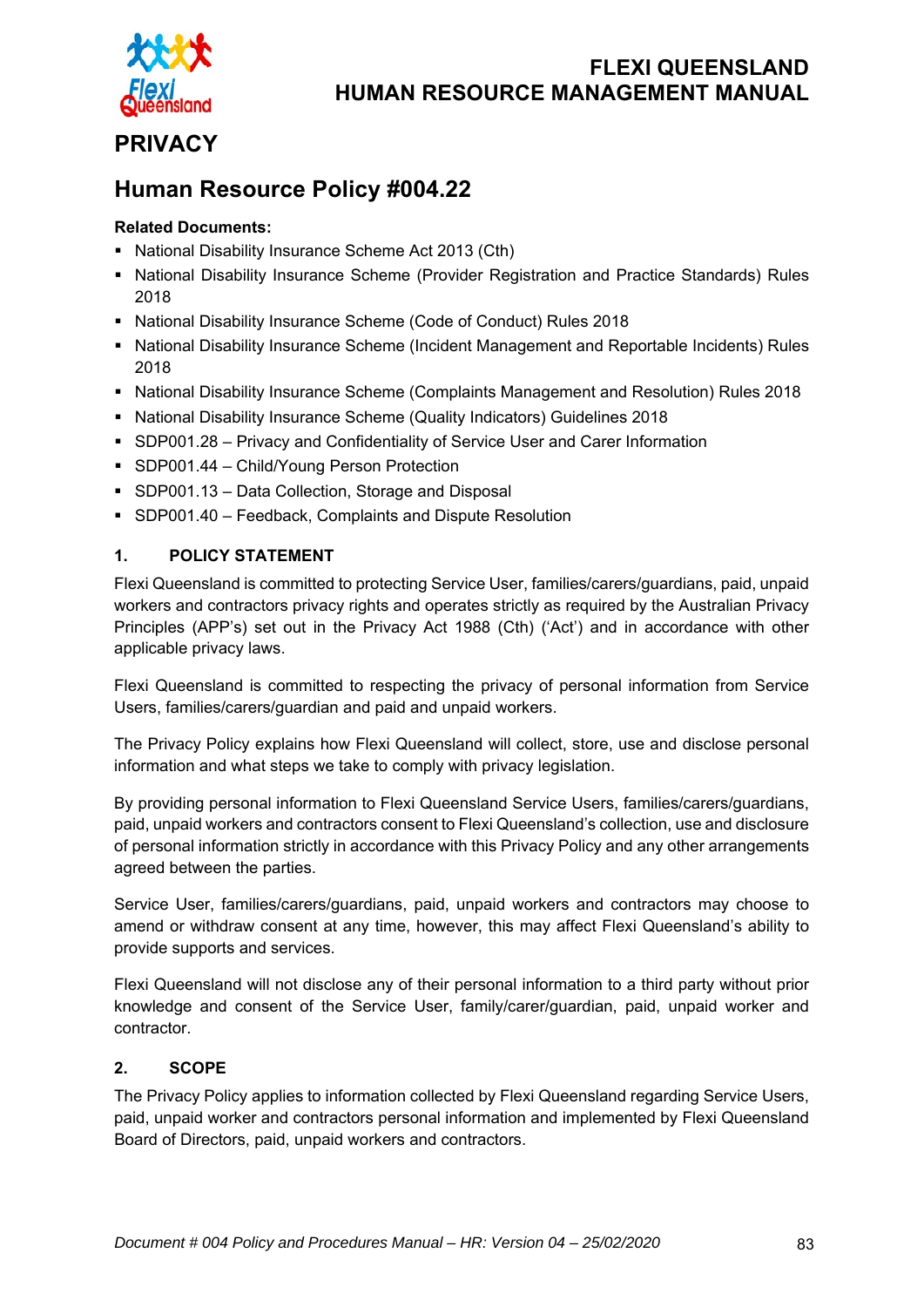

# **PRIVACY**

# **Human Resource Policy #004.22**

### **Related Documents:**

- National Disability Insurance Scheme Act 2013 (Cth)
- **National Disability Insurance Scheme (Provider Registration and Practice Standards) Rules** 2018
- National Disability Insurance Scheme (Code of Conduct) Rules 2018
- **National Disability Insurance Scheme (Incident Management and Reportable Incidents) Rules** 2018
- National Disability Insurance Scheme (Complaints Management and Resolution) Rules 2018
- National Disability Insurance Scheme (Quality Indicators) Guidelines 2018
- SDP001.28 Privacy and Confidentiality of Service User and Carer Information
- **SDP001.44 Child/Young Person Protection**
- SDP001.13 Data Collection, Storage and Disposal
- SDP001.40 Feedback, Complaints and Dispute Resolution

### **1. POLICY STATEMENT**

Flexi Queensland is committed to protecting Service User, families/carers/guardians, paid, unpaid workers and contractors privacy rights and operates strictly as required by the Australian Privacy Principles (APP's) set out in the Privacy Act 1988 (Cth) ('Act') and in accordance with other applicable privacy laws.

Flexi Queensland is committed to respecting the privacy of personal information from Service Users, families/carers/guardian and paid and unpaid workers.

The Privacy Policy explains how Flexi Queensland will collect, store, use and disclose personal information and what steps we take to comply with privacy legislation.

By providing personal information to Flexi Queensland Service Users, families/carers/guardians, paid, unpaid workers and contractors consent to Flexi Queensland's collection, use and disclosure of personal information strictly in accordance with this Privacy Policy and any other arrangements agreed between the parties.

Service User, families/carers/guardians, paid, unpaid workers and contractors may choose to amend or withdraw consent at any time, however, this may affect Flexi Queensland's ability to provide supports and services.

Flexi Queensland will not disclose any of their personal information to a third party without prior knowledge and consent of the Service User, family/carer/guardian, paid, unpaid worker and contractor.

#### **2. SCOPE**

The Privacy Policy applies to information collected by Flexi Queensland regarding Service Users, paid, unpaid worker and contractors personal information and implemented by Flexi Queensland Board of Directors, paid, unpaid workers and contractors.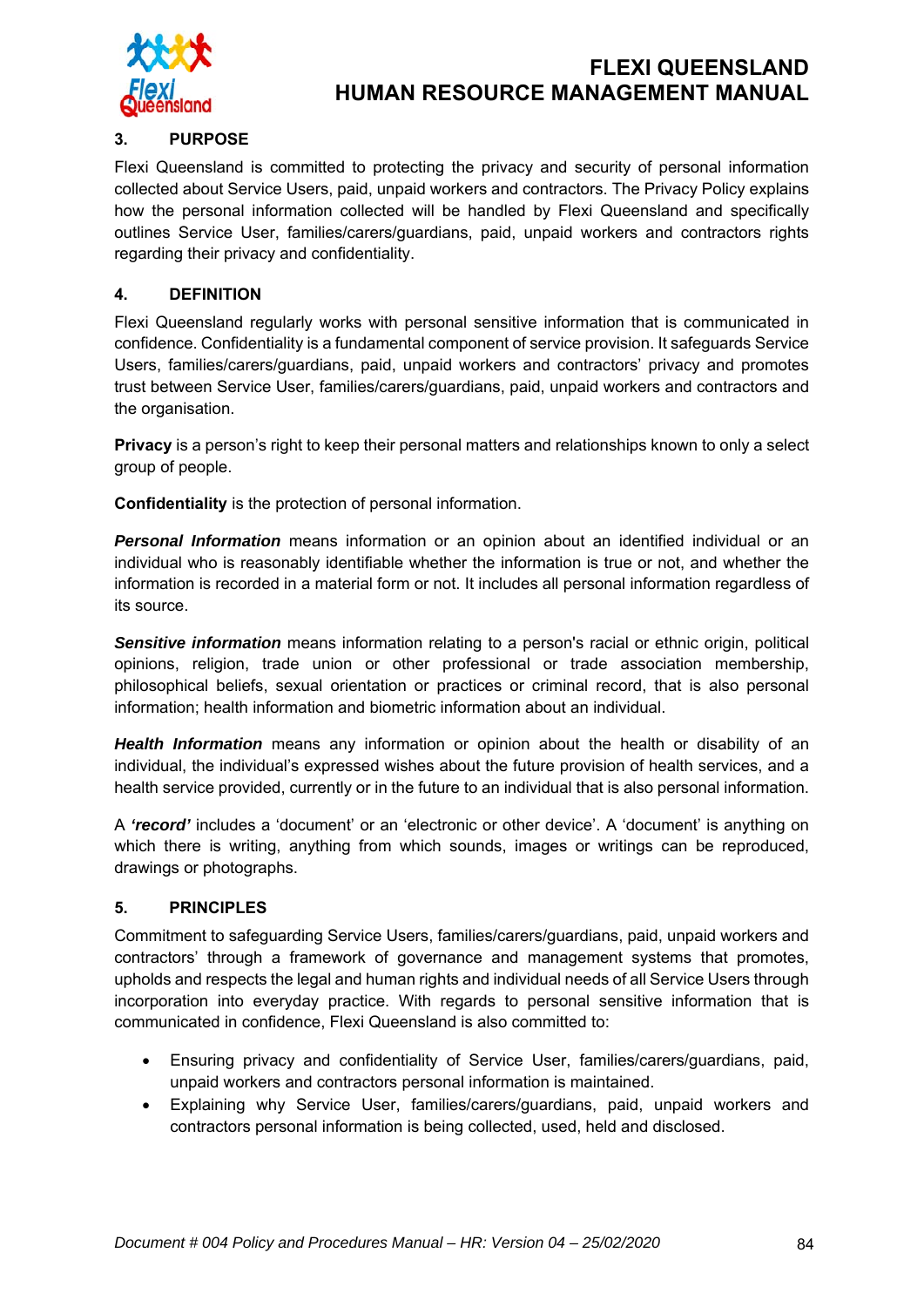

#### **3. PURPOSE**

Flexi Queensland is committed to protecting the privacy and security of personal information collected about Service Users, paid, unpaid workers and contractors. The Privacy Policy explains how the personal information collected will be handled by Flexi Queensland and specifically outlines Service User, families/carers/guardians, paid, unpaid workers and contractors rights regarding their privacy and confidentiality.

#### **4. DEFINITION**

Flexi Queensland regularly works with personal sensitive information that is communicated in confidence. Confidentiality is a fundamental component of service provision. It safeguards Service Users, families/carers/guardians, paid, unpaid workers and contractors' privacy and promotes trust between Service User, families/carers/guardians, paid, unpaid workers and contractors and the organisation.

**Privacy** is a person's right to keep their personal matters and relationships known to only a select group of people.

**Confidentiality** is the protection of personal information.

*Personal Information* means information or an opinion about an identified individual or an individual who is reasonably identifiable whether the information is true or not, and whether the information is recorded in a material form or not. It includes all personal information regardless of its source.

*Sensitive information* means information relating to a person's racial or ethnic origin, political opinions, religion, trade union or other professional or trade association membership, philosophical beliefs, sexual orientation or practices or criminal record, that is also personal information; health information and biometric information about an individual.

*Health Information* means any information or opinion about the health or disability of an individual, the individual's expressed wishes about the future provision of health services, and a health service provided, currently or in the future to an individual that is also personal information.

A *'record'* includes a 'document' or an 'electronic or other device'. A 'document' is anything on which there is writing, anything from which sounds, images or writings can be reproduced, drawings or photographs.

#### **5. PRINCIPLES**

Commitment to safeguarding Service Users, families/carers/guardians, paid, unpaid workers and contractors' through a framework of governance and management systems that promotes, upholds and respects the legal and human rights and individual needs of all Service Users through incorporation into everyday practice. With regards to personal sensitive information that is communicated in confidence, Flexi Queensland is also committed to:

- Ensuring privacy and confidentiality of Service User, families/carers/guardians, paid, unpaid workers and contractors personal information is maintained.
- Explaining why Service User, families/carers/guardians, paid, unpaid workers and contractors personal information is being collected, used, held and disclosed.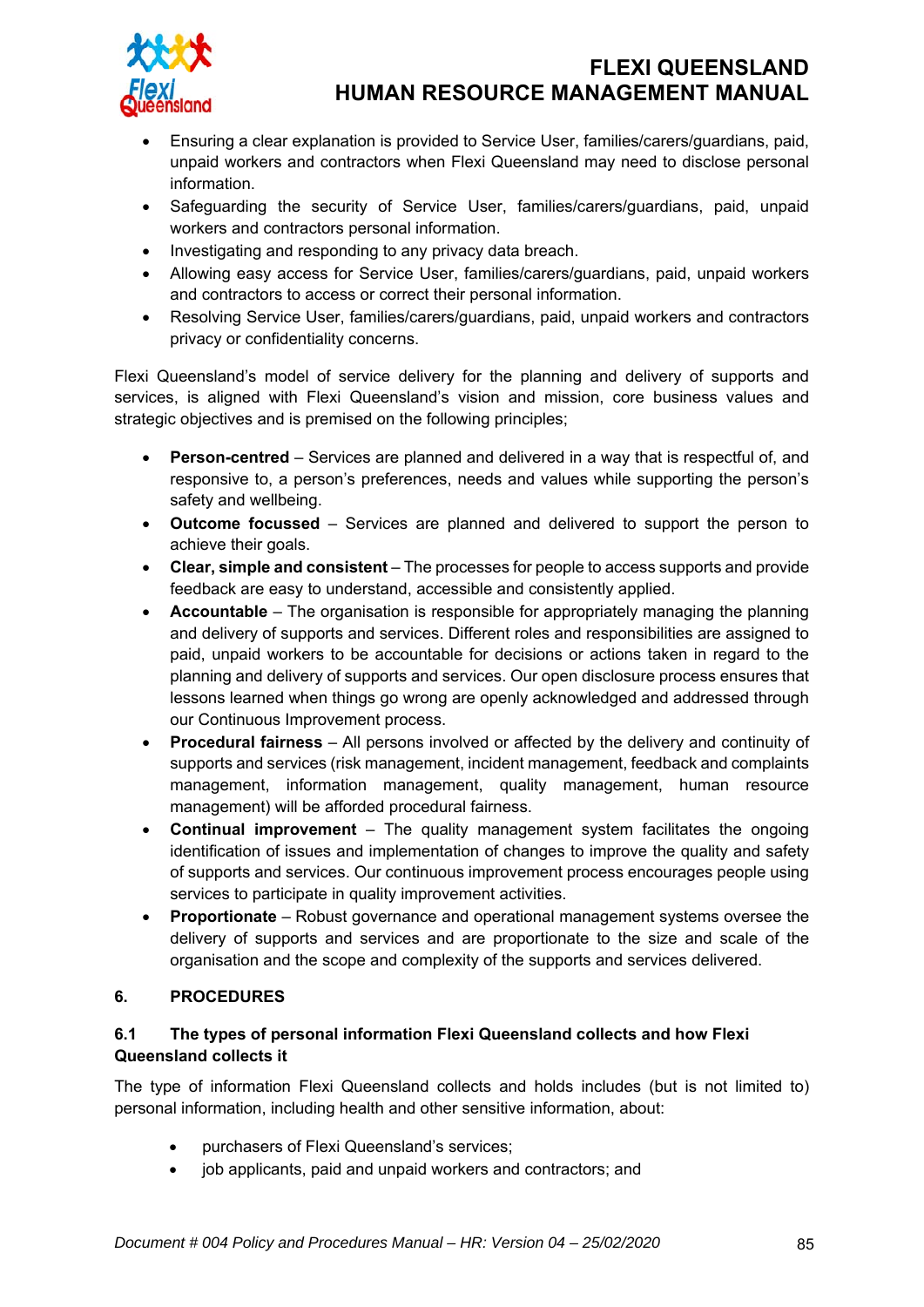

- Ensuring a clear explanation is provided to Service User, families/carers/guardians, paid, unpaid workers and contractors when Flexi Queensland may need to disclose personal information.
- Safeguarding the security of Service User, families/carers/guardians, paid, unpaid workers and contractors personal information.
- Investigating and responding to any privacy data breach.
- Allowing easy access for Service User, families/carers/guardians, paid, unpaid workers and contractors to access or correct their personal information.
- Resolving Service User, families/carers/guardians, paid, unpaid workers and contractors privacy or confidentiality concerns.

Flexi Queensland's model of service delivery for the planning and delivery of supports and services, is aligned with Flexi Queensland's vision and mission, core business values and strategic objectives and is premised on the following principles;

- **Person-centred** Services are planned and delivered in a way that is respectful of, and responsive to, a person's preferences, needs and values while supporting the person's safety and wellbeing.
- **Outcome focussed** Services are planned and delivered to support the person to achieve their goals.
- **Clear, simple and consistent** The processes for people to access supports and provide feedback are easy to understand, accessible and consistently applied.
- **Accountable** The organisation is responsible for appropriately managing the planning and delivery of supports and services. Different roles and responsibilities are assigned to paid, unpaid workers to be accountable for decisions or actions taken in regard to the planning and delivery of supports and services. Our open disclosure process ensures that lessons learned when things go wrong are openly acknowledged and addressed through our Continuous Improvement process.
- **Procedural fairness**  All persons involved or affected by the delivery and continuity of supports and services (risk management, incident management, feedback and complaints management, information management, quality management, human resource management) will be afforded procedural fairness.
- **Continual improvement** The quality management system facilitates the ongoing identification of issues and implementation of changes to improve the quality and safety of supports and services. Our continuous improvement process encourages people using services to participate in quality improvement activities.
- **Proportionate** Robust governance and operational management systems oversee the delivery of supports and services and are proportionate to the size and scale of the organisation and the scope and complexity of the supports and services delivered.

#### **6. PROCEDURES**

#### **6.1 The types of personal information Flexi Queensland collects and how Flexi Queensland collects it**

The type of information Flexi Queensland collects and holds includes (but is not limited to) personal information, including health and other sensitive information, about:

- purchasers of Flexi Queensland's services;
- job applicants, paid and unpaid workers and contractors; and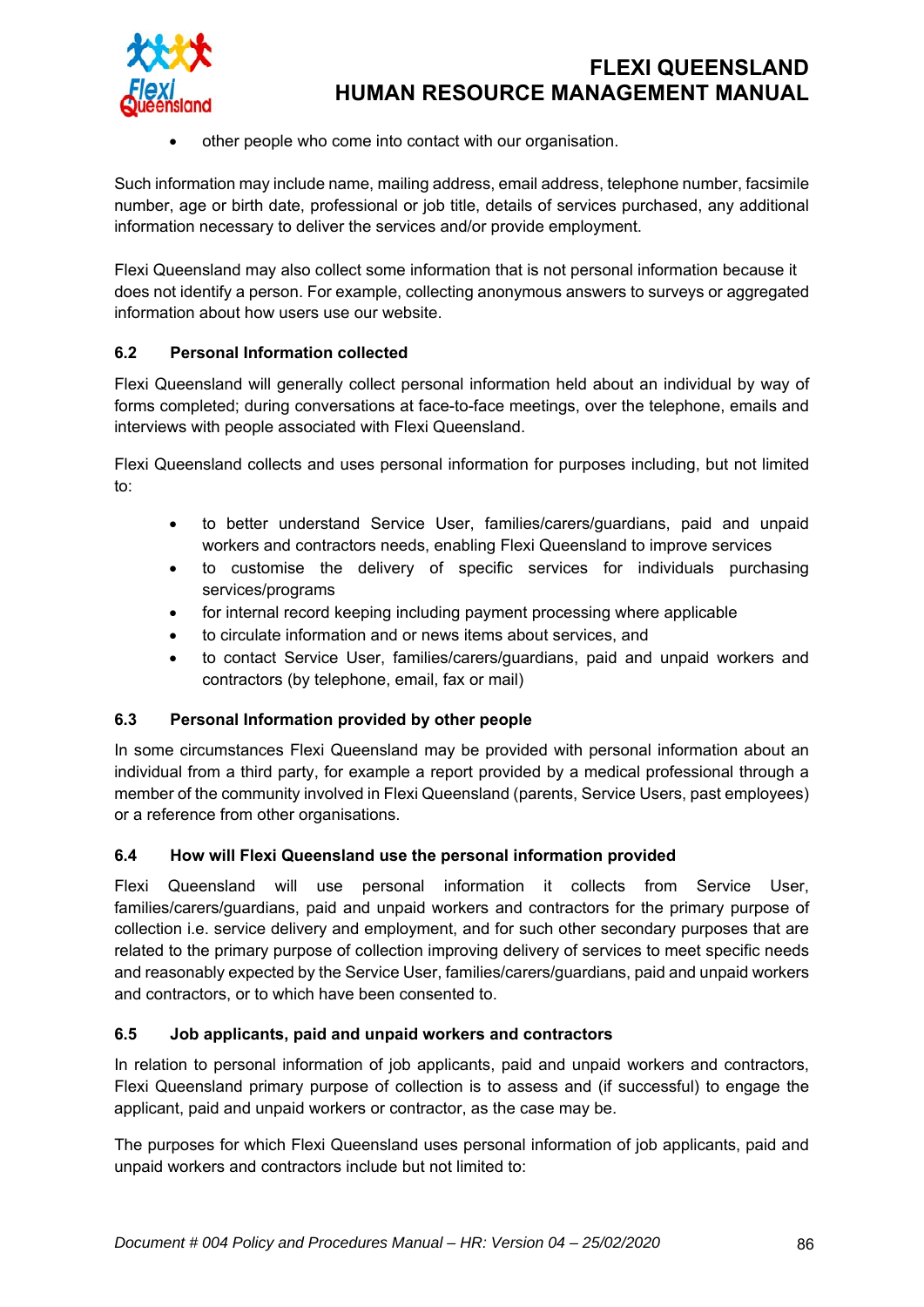

other people who come into contact with our organisation.

Such information may include name, mailing address, email address, telephone number, facsimile number, age or birth date, professional or job title, details of services purchased, any additional information necessary to deliver the services and/or provide employment.

Flexi Queensland may also collect some information that is not personal information because it does not identify a person. For example, collecting anonymous answers to surveys or aggregated information about how users use our website.

#### **6.2 Personal Information collected**

Flexi Queensland will generally collect personal information held about an individual by way of forms completed; during conversations at face-to-face meetings, over the telephone, emails and interviews with people associated with Flexi Queensland.

Flexi Queensland collects and uses personal information for purposes including, but not limited to:

- to better understand Service User, families/carers/guardians, paid and unpaid workers and contractors needs, enabling Flexi Queensland to improve services
- to customise the delivery of specific services for individuals purchasing services/programs
- for internal record keeping including payment processing where applicable
- to circulate information and or news items about services, and
- to contact Service User, families/carers/guardians, paid and unpaid workers and contractors (by telephone, email, fax or mail)

#### **6.3 Personal Information provided by other people**

In some circumstances Flexi Queensland may be provided with personal information about an individual from a third party, for example a report provided by a medical professional through a member of the community involved in Flexi Queensland (parents, Service Users, past employees) or a reference from other organisations.

#### **6.4 How will Flexi Queensland use the personal information provided**

Flexi Queensland will use personal information it collects from Service User, families/carers/guardians, paid and unpaid workers and contractors for the primary purpose of collection i.e. service delivery and employment, and for such other secondary purposes that are related to the primary purpose of collection improving delivery of services to meet specific needs and reasonably expected by the Service User, families/carers/guardians, paid and unpaid workers and contractors, or to which have been consented to.

#### **6.5 Job applicants, paid and unpaid workers and contractors**

In relation to personal information of job applicants, paid and unpaid workers and contractors, Flexi Queensland primary purpose of collection is to assess and (if successful) to engage the applicant, paid and unpaid workers or contractor, as the case may be.

The purposes for which Flexi Queensland uses personal information of job applicants, paid and unpaid workers and contractors include but not limited to: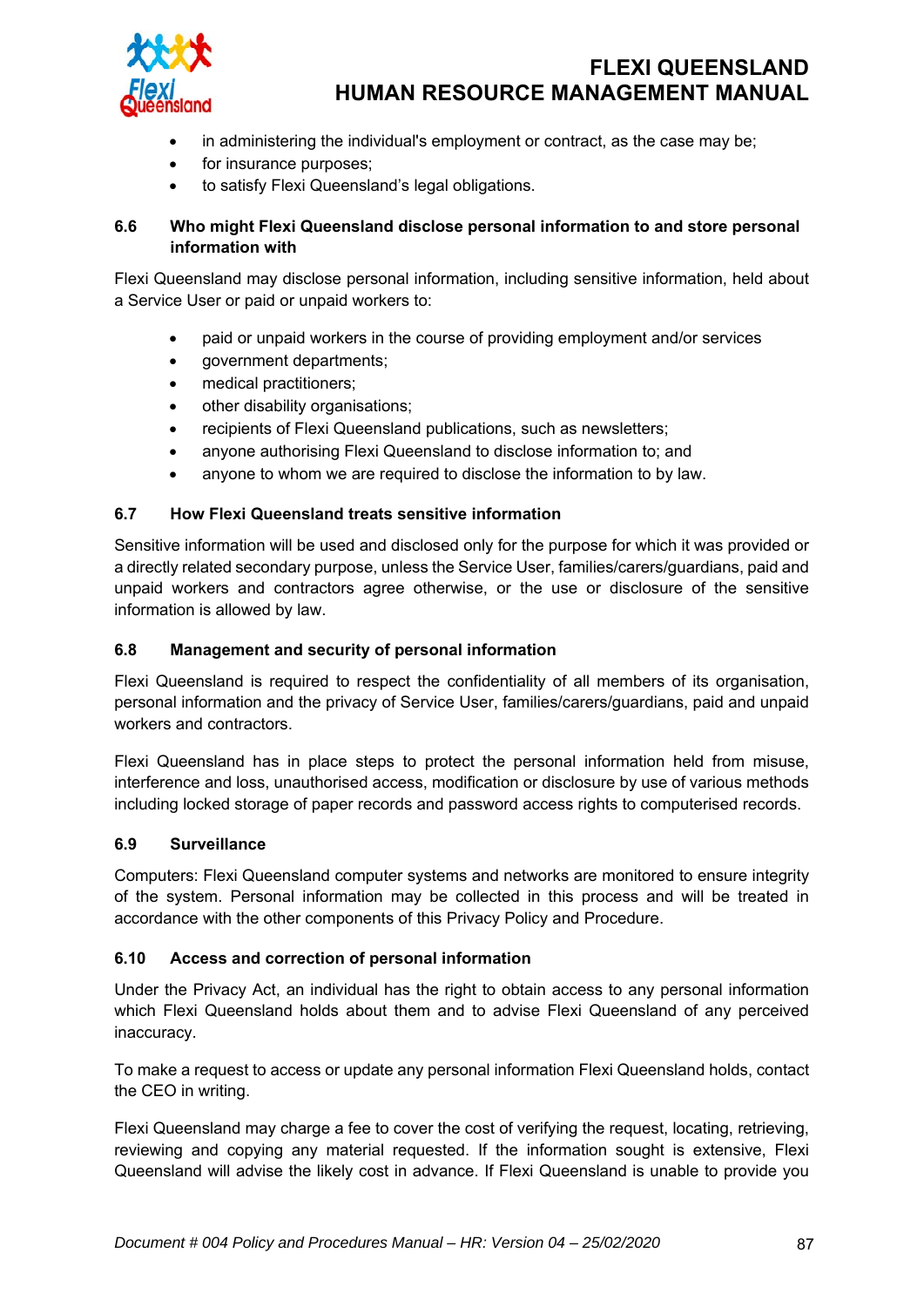

- in administering the individual's employment or contract, as the case may be;
- for insurance purposes;
- to satisfy Flexi Queensland's legal obligations.

#### **6.6 Who might Flexi Queensland disclose personal information to and store personal information with**

Flexi Queensland may disclose personal information, including sensitive information, held about a Service User or paid or unpaid workers to:

- paid or unpaid workers in the course of providing employment and/or services
- government departments;
- medical practitioners;
- other disability organisations;
- recipients of Flexi Queensland publications, such as newsletters;
- anyone authorising Flexi Queensland to disclose information to; and
- anyone to whom we are required to disclose the information to by law.

#### **6.7 How Flexi Queensland treats sensitive information**

Sensitive information will be used and disclosed only for the purpose for which it was provided or a directly related secondary purpose, unless the Service User, families/carers/guardians, paid and unpaid workers and contractors agree otherwise, or the use or disclosure of the sensitive information is allowed by law.

#### **6.8 Management and security of personal information**

Flexi Queensland is required to respect the confidentiality of all members of its organisation, personal information and the privacy of Service User, families/carers/guardians, paid and unpaid workers and contractors.

Flexi Queensland has in place steps to protect the personal information held from misuse, interference and loss, unauthorised access, modification or disclosure by use of various methods including locked storage of paper records and password access rights to computerised records.

#### **6.9 Surveillance**

Computers: Flexi Queensland computer systems and networks are monitored to ensure integrity of the system. Personal information may be collected in this process and will be treated in accordance with the other components of this Privacy Policy and Procedure.

#### **6.10 Access and correction of personal information**

Under the Privacy Act, an individual has the right to obtain access to any personal information which Flexi Queensland holds about them and to advise Flexi Queensland of any perceived inaccuracy.

To make a request to access or update any personal information Flexi Queensland holds, contact the CEO in writing.

Flexi Queensland may charge a fee to cover the cost of verifying the request, locating, retrieving, reviewing and copying any material requested. If the information sought is extensive, Flexi Queensland will advise the likely cost in advance. If Flexi Queensland is unable to provide you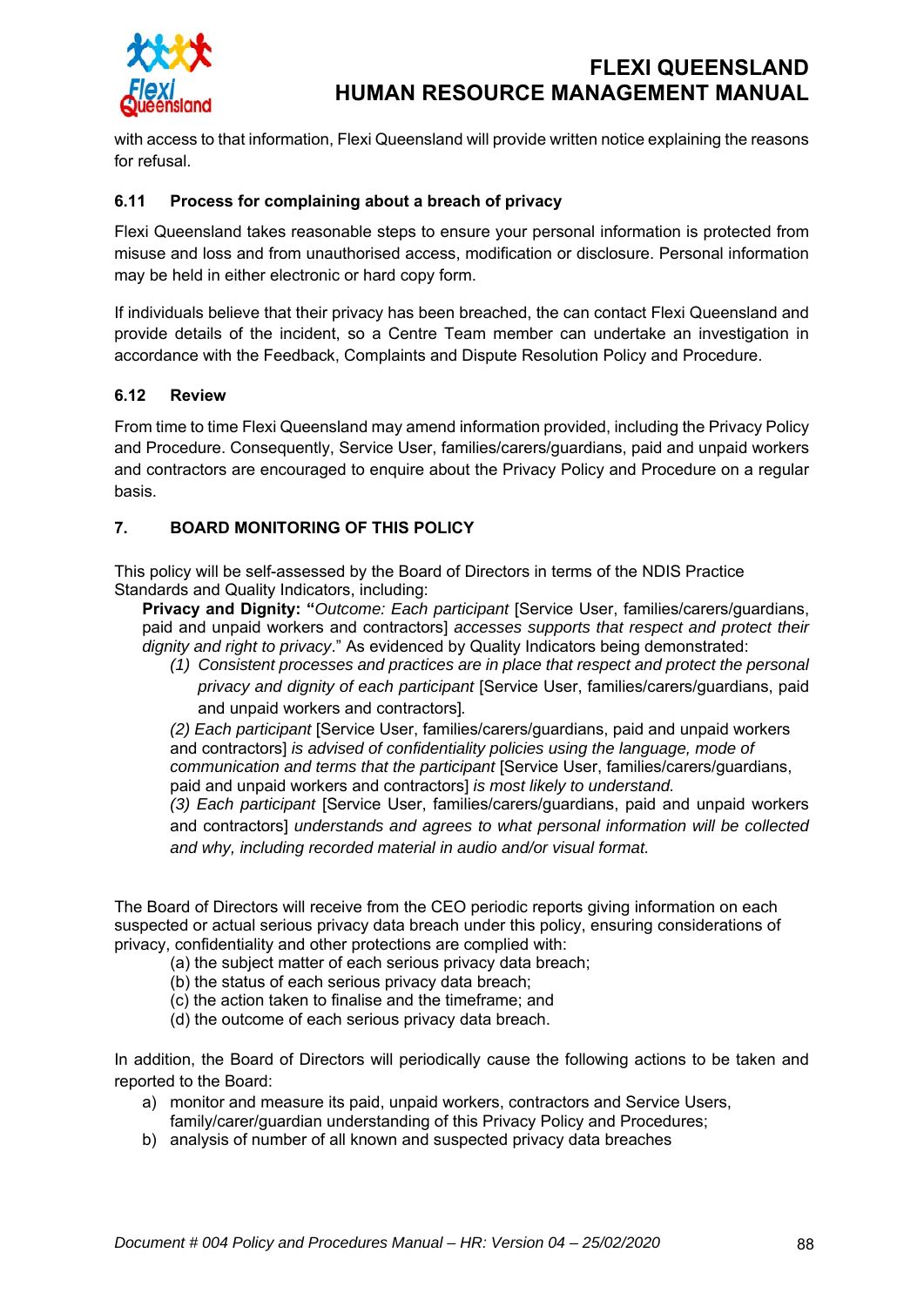

with access to that information, Flexi Queensland will provide written notice explaining the reasons for refusal.

#### **6.11 Process for complaining about a breach of privacy**

Flexi Queensland takes reasonable steps to ensure your personal information is protected from misuse and loss and from unauthorised access, modification or disclosure. Personal information may be held in either electronic or hard copy form.

If individuals believe that their privacy has been breached, the can contact Flexi Queensland and provide details of the incident, so a Centre Team member can undertake an investigation in accordance with the Feedback, Complaints and Dispute Resolution Policy and Procedure.

#### **6.12 Review**

From time to time Flexi Queensland may amend information provided, including the Privacy Policy and Procedure. Consequently, Service User, families/carers/guardians, paid and unpaid workers and contractors are encouraged to enquire about the Privacy Policy and Procedure on a regular basis.

#### **7. BOARD MONITORING OF THIS POLICY**

This policy will be self-assessed by the Board of Directors in terms of the NDIS Practice Standards and Quality Indicators, including:

**Privacy and Dignity:** "*Outcome: Each participant* [Service User, families/carers/guardians, paid and unpaid workers and contractors] *accesses supports that respect and protect their dignity and right to privacy*." As evidenced by Quality Indicators being demonstrated:

*(1) Consistent processes and practices are in place that respect and protect the personal privacy and dignity of each participant* [Service User, families/carers/guardians, paid and unpaid workers and contractors]*.* 

*(2) Each participant* [Service User, families/carers/guardians, paid and unpaid workers and contractors] *is advised of confidentiality policies using the language, mode of communication and terms that the participant* [Service User, families/carers/guardians, paid and unpaid workers and contractors] *is most likely to understand.* 

*(3) Each participant* [Service User, families/carers/guardians, paid and unpaid workers and contractors] *understands and agrees to what personal information will be collected and why, including recorded material in audio and/or visual format.* 

The Board of Directors will receive from the CEO periodic reports giving information on each suspected or actual serious privacy data breach under this policy, ensuring considerations of privacy, confidentiality and other protections are complied with:

- (a) the subject matter of each serious privacy data breach;
- (b) the status of each serious privacy data breach;
- (c) the action taken to finalise and the timeframe; and
- (d) the outcome of each serious privacy data breach.

In addition, the Board of Directors will periodically cause the following actions to be taken and reported to the Board:

- a) monitor and measure its paid, unpaid workers, contractors and Service Users, family/carer/guardian understanding of this Privacy Policy and Procedures;
- b) analysis of number of all known and suspected privacy data breaches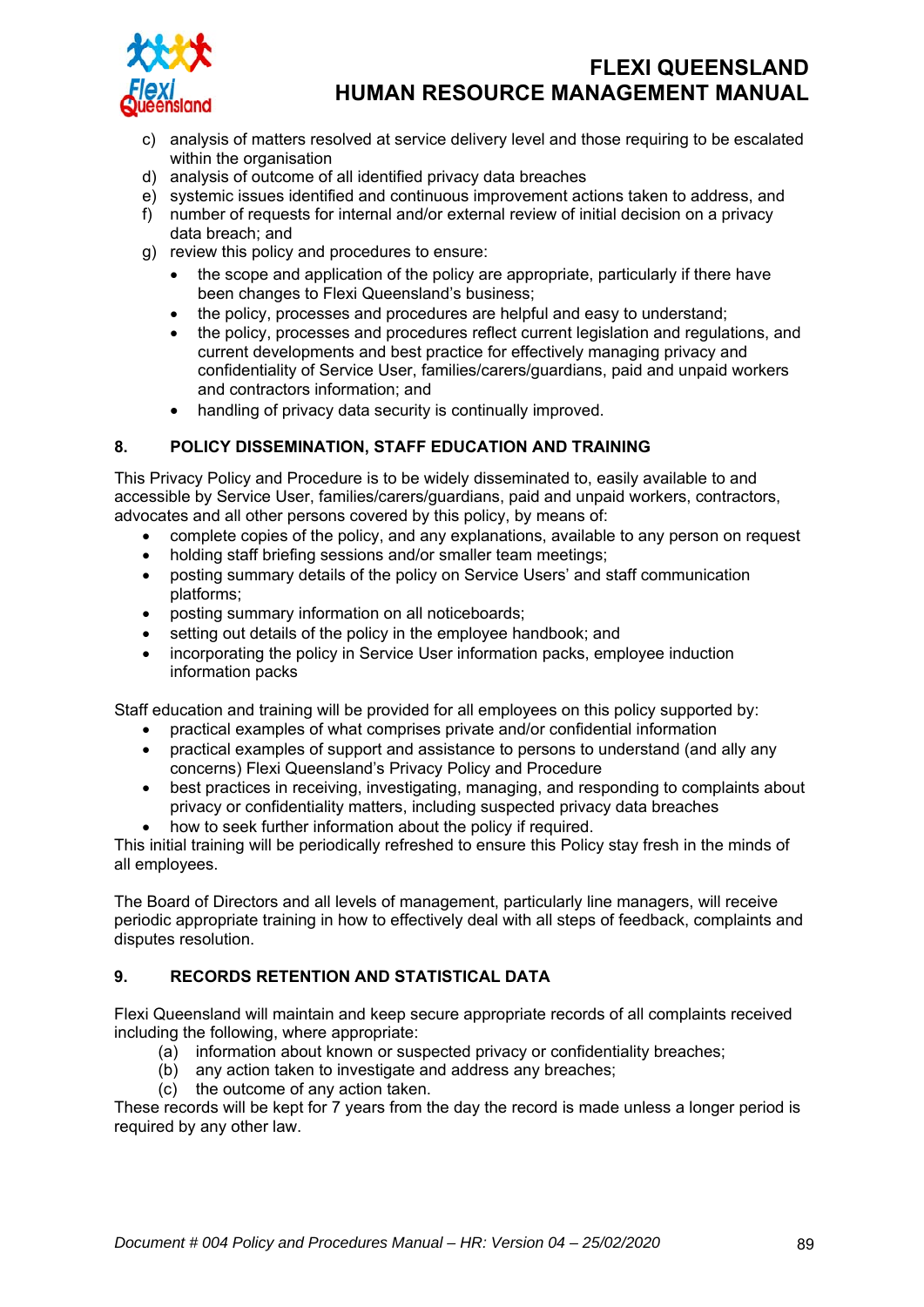

- c) analysis of matters resolved at service delivery level and those requiring to be escalated within the organisation
- d) analysis of outcome of all identified privacy data breaches
- e) systemic issues identified and continuous improvement actions taken to address, and
- f) number of requests for internal and/or external review of initial decision on a privacy data breach; and
- g) review this policy and procedures to ensure:
	- the scope and application of the policy are appropriate, particularly if there have been changes to Flexi Queensland's business;
	- the policy, processes and procedures are helpful and easy to understand;
	- the policy, processes and procedures reflect current legislation and regulations, and current developments and best practice for effectively managing privacy and confidentiality of Service User, families/carers/guardians, paid and unpaid workers and contractors information; and
	- handling of privacy data security is continually improved.

#### **8. POLICY DISSEMINATION, STAFF EDUCATION AND TRAINING**

This Privacy Policy and Procedure is to be widely disseminated to, easily available to and accessible by Service User, families/carers/guardians, paid and unpaid workers, contractors, advocates and all other persons covered by this policy, by means of:

- complete copies of the policy, and any explanations, available to any person on request
- holding staff briefing sessions and/or smaller team meetings;
- posting summary details of the policy on Service Users' and staff communication platforms;
- posting summary information on all noticeboards;
- setting out details of the policy in the employee handbook; and
- incorporating the policy in Service User information packs, employee induction information packs

Staff education and training will be provided for all employees on this policy supported by:

- practical examples of what comprises private and/or confidential information
- practical examples of support and assistance to persons to understand (and ally any concerns) Flexi Queensland's Privacy Policy and Procedure
- best practices in receiving, investigating, managing, and responding to complaints about privacy or confidentiality matters, including suspected privacy data breaches
- how to seek further information about the policy if required.

This initial training will be periodically refreshed to ensure this Policy stay fresh in the minds of all employees.

The Board of Directors and all levels of management, particularly line managers, will receive periodic appropriate training in how to effectively deal with all steps of feedback, complaints and disputes resolution.

#### **9. RECORDS RETENTION AND STATISTICAL DATA**

Flexi Queensland will maintain and keep secure appropriate records of all complaints received including the following, where appropriate:

- (a) information about known or suspected privacy or confidentiality breaches;
- (b) any action taken to investigate and address any breaches;
- (c) the outcome of any action taken.

These records will be kept for 7 years from the day the record is made unless a longer period is required by any other law.